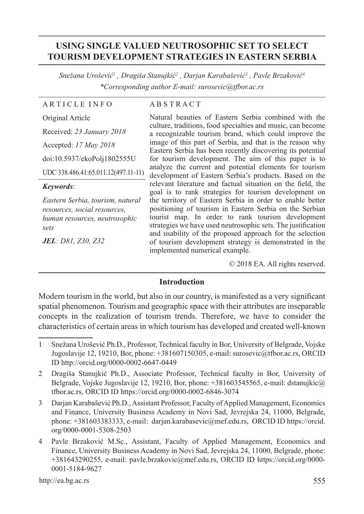# **USING SINGLE VALUED NEUTROSOPHIC SET TO SELECT TOURISM DEVELOPMENT STRATEGIES IN EASTERN SERBIA**

*Snežana Urošević<sup>1</sup> , Dragiša Stanujkić<sup>2</sup> , Darjan Karabašević<sup>3</sup> , Pavle Brzaković4 \*Corresponding author E-mail: surosevic@tfbor.ac.rs*

#### A R T I C L E I N F O

#### A B S T R A C T

Original Article Received: *23 January 2018* Accepted: *17 May 2018* doi:10.5937/ekoPolj1802555U UDC 338.486.41:65.011.12(497.11-11)

#### *Keywords*:

*Eastern Serbia, tourism, natural resources, social resources, human resources, neutrosophic sets*

*JEL: D81, Z30, Z32*

Natural beauties of Eastern Serbia combined with the culture, traditions, food specialties and music, can become a recognizable tourism brand, which could improve the image of this part of Serbia, and that is the reason why Eastern Serbia has been recently discovering its potential for tourism development. The aim of this paper is to analyze the current and potential elements for tourism development of Eastern Serbia's products. Based on the relevant literature and factual situation on the field, the goal is to rank strategies for tourism development on the territory of Eastern Serbia in order to enable better positioning of tourism in Eastern Serbia on the Serbian tourist map. In order to rank tourism development strategies we have used neutrosophic sets. The justification and usability of the proposed approach for the selection of tourism development strategy is demonstrated in the implemented numerical example.

© 2018 EA. All rights reserved.

#### **Introduction**

Modern tourism in the world, but also in our country, is manifested as a very significant spatial phenomenon. Tourism and geographic space with their attributes are inseparable concepts in the realization of tourism trends. Therefore, we have to consider the characteristics of certain areas in which tourism has developed and created well-known

<sup>1</sup> Snežana Urošević Ph.D., Professor, Technical faculty in Bor, University of Belgrade, Vojske Jugoslavije 12, 19210, Bor, phone: +381607150305, e-mail: surosevic@tfbor.ac.rs, ORCID ID http://orcid.org/0000-0002-6647-0449

<sup>2</sup> Dragiša Stanujkić Ph.D., Associate Professor, Technical faculty in Bor, University of Belgrade, Vojske Jugoslavije 12, 19210, Bor, phone:  $+381603545565$ , e-mail: dstanujkic $@$ tfbor.ac.rs, ORCID ID https://orcid.org/0000-0002-6846-3074

<sup>3</sup> Darjan Karabašević Ph.D., Assistant Professor, Faculty of Applied Management, Economics and Finance, University Business Academy in Novi Sad, Jevrejska 24, 11000, Belgrade, phone: +381603383333, e-mail: darjan.karabasevic@mef.edu.rs, ORCID ID https://orcid. org/0000-0001-5308-2503

<sup>4</sup> Pavle Brzaković M.Sc., Assistant, Faculty of Applied Management, Economics and Finance, University Business Academy in Novi Sad, Jevrejska 24, 11000, Belgrade, phone: +381643290255, e-mail: pavle.brzakovic@mef.edu.rs, ORCID ID https://orcid.org/0000- 0001-5184-9627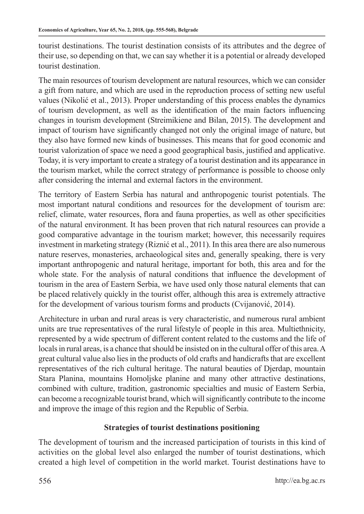tourist destinations. The tourist destination consists of its attributes and the degree of their use, so depending on that, we can say whether it is a potential or already developed tourist destination.

The main resources of tourism development are natural resources, which we can consider a gift from nature, and which are used in the reproduction process of setting new useful values (Nikolić et al., 2013). Proper understanding of this process enables the dynamics of tourism development, as well as the identification of the main factors influencing changes in tourism development (Streimikiene and Bilan, 2015). The development and impact of tourism have significantly changed not only the original image of nature, but they also have formed new kinds of businesses. This means that for good economic and tourist valorization of space we need a good geographical basis, justified and applicative. Today, it is very important to create a strategy of a tourist destination and its appearance in the tourism market, while the correct strategy of performance is possible to choose only after considering the internal and external factors in the environment.

The territory of Eastern Serbia has natural and anthropogenic tourist potentials. The most important natural conditions and resources for the development of tourism are: relief, climate, water resources, flora and fauna properties, as well as other specificities of the natural environment. It has been proven that rich natural resources can provide a good comparative advantage in the tourism market; however, this necessarily requires investment in marketing strategy (Riznić et al., 2011). In this area there are also numerous nature reserves, monasteries, archaeological sites and, generally speaking, there is very important anthropogenic and natural heritage, important for both, this area and for the whole state. For the analysis of natural conditions that influence the development of tourism in the area of Eastern Serbia, we have used only those natural elements that can be placed relatively quickly in the tourist offer, although this area is extremely attractive for the development of various tourism forms and products (Cvijanović, 2014).

Architecture in urban and rural areas is very characteristic, and numerous rural ambient units are true representatives of the rural lifestyle of people in this area. Multiethnicity, represented by a wide spectrum of different content related to the customs and the life of locals in rural areas, is a chance that should be insisted on in the cultural offer of this area. A great cultural value also lies in the products of old crafts and handicrafts that are excellent representatives of the rich cultural heritage. The natural beauties of Djerdap, mountain Stara Planina, mountains Homoljske planine and many other attractive destinations, combined with culture, tradition, gastronomic specialties and music of Eastern Serbia, can become a recognizable tourist brand, which will significantly contribute to the income and improve the image of this region and the Republic of Serbia.

# **Strategies of tourist destinations positioning**

The development of tourism and the increased participation of tourists in this kind of activities on the global level also enlarged the number of tourist destinations, which created a high level of competition in the world market. Tourist destinations have to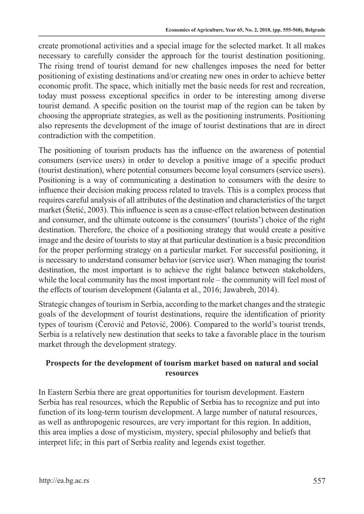create promotional activities and a special image for the selected market. It all makes necessary to carefully consider the approach for the tourist destination positioning. The rising trend of tourist demand for new challenges imposes the need for better positioning of existing destinations and/or creating new ones in order to achieve better economic profit. The space, which initially met the basic needs for rest and recreation, today must possess exceptional specifics in order to be interesting among diverse tourist demand. A specific position on the tourist map of the region can be taken by choosing the appropriate strategies, as well as the positioning instruments. Positioning also represents the development of the image of tourist destinations that are in direct contradiction with the competition.

The positioning of tourism products has the influence on the awareness of potential consumers (service users) in order to develop a positive image of a specific product (tourist destination), where potential consumers become loyal consumers (service users). Positioning is a way of communicating a destination to consumers with the desire to influence their decision making process related to travels. This is a complex process that requires careful analysis of all attributes of the destination and characteristics of the target market (Štetić, 2003). This influence is seen as a cause-effect relation between destination and consumer, and the ultimate outcome is the consumers' (tourists') choice of the right destination. Therefore, the choice of a positioning strategy that would create a positive image and the desire of tourists to stay at that particular destination is a basic precondition for the proper performing strategy on a particular market. For successful positioning, it is necessary to understand consumer behavior (service user). When managing the tourist destination, the most important is to achieve the right balance between stakeholders, while the local community has the most important role – the community will feel most of the effects of tourism development (Galanta et al., 2016; Jawabreh, 2014).

Strategic changes of tourism in Serbia, according to the market changes and the strategic goals of the development of tourist destinations, require the identification of priority types of tourism (Čerović and Petović, 2006). Compared to the world's tourist trends, Serbia is a relatively new destination that seeks to take a favorable place in the tourism market through the development strategy.

## **Prospects for the development of tourism market based on natural and social resources**

In Eastern Serbia there are great opportunities for tourism development. Eastern Serbia has real resources, which the Republic of Serbia has to recognize and put into function of its long-term tourism development. A large number of natural resources, as well as anthropogenic resources, are very important for this region. In addition, this area implies a dose of mysticism, mystery, special philosophy and beliefs that interpret life; in this part of Serbia reality and legends exist together.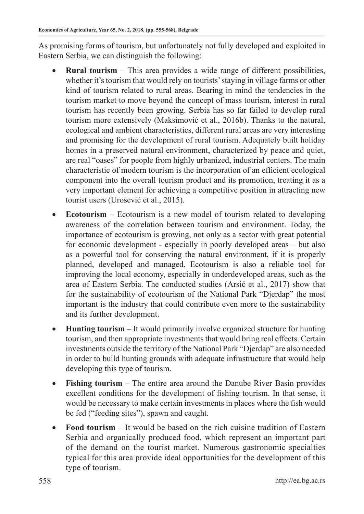As promising forms of tourism, but unfortunately not fully developed and exploited in Eastern Serbia, we can distinguish the following:

- **Rural tourism** This area provides a wide range of different possibilities, whether it's tourism that would rely on tourists' staying in village farms or other kind of tourism related to rural areas. Bearing in mind the tendencies in the tourism market to move beyond the concept of mass tourism, interest in rural tourism has recently been growing. Serbia has so far failed to develop rural tourism more extensively (Maksimović et al., 2016b). Thanks to the natural, ecological and ambient characteristics, different rural areas are very interesting and promising for the development of rural tourism. Adequately built holiday homes in a preserved natural environment, characterized by peace and quiet, are real "oases" for people from highly urbanized, industrial centers. The main characteristic of modern tourism is the incorporation of an efficient ecological component into the overall tourism product and its promotion, treating it as a very important element for achieving a competitive position in attracting new tourist users (Urošević et al., 2015).
- **Ecotourism** Ecotourism is a new model of tourism related to developing awareness of the correlation between tourism and environment. Today, the importance of ecotourism is growing, not only as a sector with great potential for economic development - especially in poorly developed areas – but also as a powerful tool for conserving the natural environment, if it is properly planned, developed and managed. Ecotourism is also a reliable tool for improving the local economy, especially in underdeveloped areas, such as the area of Eastern Serbia. The conducted studies (Arsić et al., 2017) show that for the sustainability of ecotourism of the National Park "Djerdap" the most important is the industry that could contribute even more to the sustainability and its further development.
- **Hunting tourism** It would primarily involve organized structure for hunting tourism, and then appropriate investments that would bring real effects. Certain investments outside the territory of the National Park "Djerdap" are also needed in order to build hunting grounds with adequate infrastructure that would help developing this type of tourism.
- • **Fishing tourism** The entire area around the Danube River Basin provides excellent conditions for the development of fishing tourism. In that sense, it would be necessary to make certain investments in places where the fish would be fed ("feeding sites"), spawn and caught.
- **Food tourism** It would be based on the rich cuisine tradition of Eastern Serbia and organically produced food, which represent an important part of the demand on the tourist market. Numerous gastronomic specialties typical for this area provide ideal opportunities for the development of this type of tourism.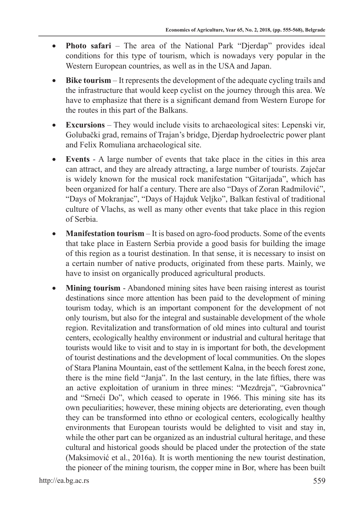- **Photo safari** The area of the National Park "Djerdap" provides ideal conditions for this type of tourism, which is nowadays very popular in the Western European countries, as well as in the USA and Japan.
- **Bike tourism** It represents the development of the adequate cycling trails and the infrastructure that would keep cyclist on the journey through this area. We have to emphasize that there is a significant demand from Western Europe for the routes in this part of the Balkans.
- • **Excursions** They would include visits to archaeological sites: Lepenski vir, Golubački grad, remains of Trajan's bridge, Djerdap hydroelectric power plant and Felix Romuliana archaeological site.
- **Events** A large number of events that take place in the cities in this area can attract, and they are already attracting, a large number of tourists. Zaječar is widely known for the musical rock manifestation "Gitarijada", which has been organized for half a century. There are also "Days of Zoran Radmilović", "Days of Mokranjac", "Days of Hajduk Veljko", Balkan festival of traditional culture of Vlachs, as well as many other events that take place in this region of Serbia.
- **Manifestation tourism** It is based on agro-food products. Some of the events that take place in Eastern Serbia provide a good basis for building the image of this region as a tourist destination. In that sense, it is necessary to insist on a certain number of native products, originated from these parts. Mainly, we have to insist on organically produced agricultural products.
- **Mining tourism** Abandoned mining sites have been raising interest as tourist destinations since more attention has been paid to the development of mining tourism today, which is an important component for the development of not only tourism, but also for the integral and sustainable development of the whole region. Revitalization and transformation of old mines into cultural and tourist centers, ecologically healthy environment or industrial and cultural heritage that tourists would like to visit and to stay in is important for both, the development of tourist destinations and the development of local communities. On the slopes of Stara Planina Mountain, east of the settlement Kalna, in the beech forest zone, there is the mine field "Janja". In the last century, in the late fifties, there was an active exploitation of uranium in three mines: "Mezdreja", "Gabrovnica" and "Srneći Do", which ceased to operate in 1966. This mining site has its own peculiarities; however, these mining objects are deteriorating, even though they can be transformed into ethno or ecological centers, ecologically healthy environments that European tourists would be delighted to visit and stay in, while the other part can be organized as an industrial cultural heritage, and these cultural and historical goods should be placed under the protection of the state (Maksimović et al., 2016a). It is worth mentioning the new tourist destination, the pioneer of the mining tourism, the copper mine in Bor, where has been built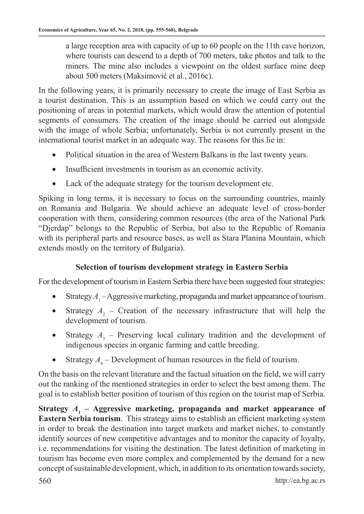a large reception area with capacity of up to 60 people on the 11th cave horizon, where tourists can descend to a depth of 700 meters, take photos and talk to the miners. The mine also includes a viewpoint on the oldest surface mine deep about 500 meters (Maksimović et al., 2016c).

In the following years, it is primarily necessary to create the image of East Serbia as a tourist destination. This is an assumption based on which we could carry out the positioning of areas in potential markets, which would draw the attention of potential segments of consumers. The creation of the image should be carried out alongside with the image of whole Serbia; unfortunately, Serbia is not currently present in the international tourist market in an adequate way. The reasons for this lie in:

- Political situation in the area of Western Balkans in the last twenty years.
- Insufficient investments in tourism as an economic activity.
- Lack of the adequate strategy for the tourism development etc.

Spiking in long terms, it is necessary to focus on the surrounding countries, mainly on Romania and Bulgaria. We should achieve an adequate level of cross-border cooperation with them, considering common resources (the area of the National Park "Djerdap" belongs to the Republic of Serbia, but also to the Republic of Romania with its peripheral parts and resource bases, as well as Stara Planina Mountain, which extends mostly on the territory of Bulgaria).

# **Selection of tourism development strategy in Eastern Serbia**

For the development of tourism in Eastern Serbia there have been suggested four strategies:

- Strategy  $A_1$  Aggressive marketing, propaganda and market appearance of tourism.
- Strategy  $A_2$  Creation of the necessary infrastructure that will help the development of tourism.
- Strategy  $A_3$  Preserving local culinary tradition and the development of indigenous species in organic farming and cattle breeding.
- Strategy  $A_4$  Development of human resources in the field of tourism.

On the basis on the relevant literature and the factual situation on the field, we will carry out the ranking of the mentioned strategies in order to select the best among them. The goal is to establish better position of tourism of this region on the tourist map of Serbia.

Strategy  $A_1$  – Aggressive marketing, propaganda and market appearance of **Eastern Serbia tourism**. This strategy aims to establish an efficient marketing system in order to break the destination into target markets and market niches, to constantly identify sources of new competitive advantages and to monitor the capacity of loyalty, i.e. recommendations for visiting the destination. The latest definition of marketing in tourism has become even more complex and complemented by the demand for a new concept of sustainable development, which, in addition to its orientation towards society,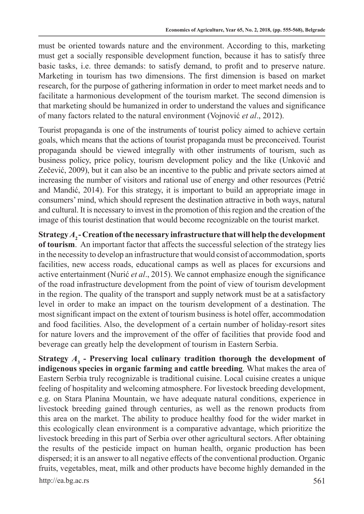must be oriented towards nature and the environment. According to this, marketing must get a socially responsible development function, because it has to satisfy three basic tasks, i.e. three demands: to satisfy demand, to profit and to preserve nature. Marketing in tourism has two dimensions. The first dimension is based on market research, for the purpose of gathering information in order to meet market needs and to facilitate a harmonious development of the tourism market. The second dimension is that marketing should be humanized in order to understand the values and significance of many factors related to the natural environment (Vojnović *et al*., 2012).

Tourist propaganda is one of the instruments of tourist policy aimed to achieve certain goals, which means that the actions of tourist propaganda must be preconceived. Tourist propaganda should be viewed integrally with other instruments of tourism, such as business policy, price policy, tourism development policy and the like (Unković and Zečević, 2009), but it can also be an incentive to the public and private sectors aimed at increasing the number of visitors and rational use of energy and other resources (Petrić and Mandić, 2014). For this strategy, it is important to build an appropriate image in consumers' mind, which should represent the destination attractive in both ways, natural and cultural. It is necessary to invest in the promotion of this region and the creation of the image of this tourist destination that would become recognizable on the tourist market.

**Strategy** *A***2 - Creation of the necessary infrastructure that will help the development of tourism**. An important factor that affects the successful selection of the strategy lies in the necessity to develop an infrastructure that would consist of accommodation, sports facilities, new access roads, educational camps as well as places for excursions and active entertainment (Nurić *et al*., 2015). We cannot emphasize enough the significance of the road infrastructure development from the point of view of tourism development in the region. The quality of the transport and supply network must be at a satisfactory level in order to make an impact on the tourism development of a destination. The most significant impact on the extent of tourism business is hotel offer, accommodation and food facilities. Also, the development of a certain number of holiday-resort sites for nature lovers and the improvement of the offer of facilities that provide food and beverage can greatly help the development of tourism in Eastern Serbia.

http://ea.bg.ac.rs 561 **Strategy** *A***<sup>3</sup> - Preserving local culinary tradition thorough the development of indigenous species in organic farming and cattle breeding**. What makes the area of Eastern Serbia truly recognizable is traditional cuisine. Local cuisine creates a unique feeling of hospitality and welcoming atmosphere. For livestock breeding development, e.g. on Stara Planina Mountain, we have adequate natural conditions, experience in livestock breeding gained through centuries, as well as the renown products from this area on the market. The ability to produce healthy food for the wider market in this ecologically clean environment is a comparative advantage, which prioritize the livestock breeding in this part of Serbia over other agricultural sectors. After obtaining the results of the pesticide impact on human health, organic production has been dispersed; it is an answer to all negative effects of the conventional production. Organic fruits, vegetables, meat, milk and other products have become highly demanded in the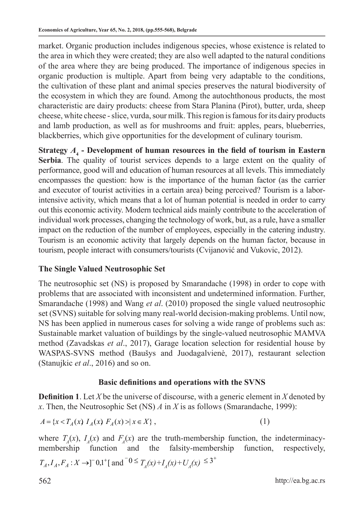market. Organic production includes indigenous species, whose existence is related to the area in which they were created; they are also well adapted to the natural conditions of the area where they are being produced. The importance of indigenous species in organic production is multiple. Apart from being very adaptable to the conditions, the cultivation of these plant and animal species preserves the natural biodiversity of the ecosystem in which they are found. Among the autochthonous products, the most characteristic are dairy products: cheese from Stara Planina (Pirot), butter, urda, sheep cheese, white cheese - slice, vurda, sour milk. This region is famous for its dairy products and lamb production, as well as for mushrooms and fruit: apples, pears, blueberries, blackberries, which give opportunities for the development of culinary tourism.

**Strategy** *A***<sup>4</sup> - Development of human resources in the field of tourism in Eastern Serbia**. The quality of tourist services depends to a large extent on the quality of performance, good will and education of human resources at all levels. This immediately encompasses the question: how is the importance of the human factor (as the carrier and executor of tourist activities in a certain area) being perceived? Tourism is a laborintensive activity, which means that a lot of human potential is needed in order to carry out this economic activity. Modern technical aids mainly contribute to the acceleration of individual work processes, changing the technology of work, but, as a rule, have a smaller impact on the reduction of the number of employees, especially in the catering industry. Tourism is an economic activity that largely depends on the human factor, because in tourism, people interact with consumers/tourists (Cvijanović and Vukovic, 2012).

# **The Single Valued Neutrosophic Set**

The neutrosophic set (NS) is proposed by Smarandache (1998) in order to cope with problems that are associated with inconsistent and undetermined information. Further, Smarandache (1998) and Wang *et al*. (2010) proposed the single valued neutrosophic set (SVNS) suitable for solving many real-world decision-making problems. Until now, NS has been applied in numerous cases for solving a wide range of problems such as: Sustainable market valuation of buildings by the single-valued neutrosophic MAMVA method (Zavadskas *et al*., 2017), Garage location selection for residential house by WASPAS-SVNS method (Baušys and Juodagalvienė, 2017), restaurant selection (Stanujkic *et al*., 2016) and so on.

# **Basic definitions and operations with the SVNS**

**Definition 1**. Let *X* be the universe of discourse, with a generic element in *X* denoted by *x*. Then, the Neutrosophic Set (NS) *A* in *X* is as follows (Smarandache, 1999):

$$
A = \{x < T_A(x) \mid I_A(x) \mid F_A(x) > | x \in X\},\tag{1}
$$

where  $T_A(x)$ ,  $I_A(x)$  and  $F_A(x)$  are the truth-membership function, the indeterminacymembership function and the falsity-membership function, respectively,

$$
T_A
$$
,  $I_A$ ,  $F_A$ :  $X \to ]^{-0}0,1^{\dagger}$  [ and  $0 \leq T_A(x) + I_A(x) + U_A(x) \leq 3^{\dagger}$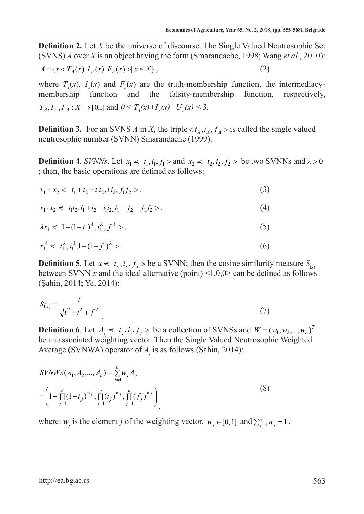**Definition 2.** Let *X* be the universe of discourse. The Single Valued Neutrosophic Set (SVNS) *A* over *X* is an object having the form (Smarandache, 1998; Wang *et al*., 2010):

$$
A = \{x < T_A(x) \mid I_A(x) \mid F_A(x) > | \mid x \in X\},\tag{2}
$$

where  $T_A(x)$ ,  $I_A(x)$  and  $F_A(x)$  are the truth-membership function, the intermediacymembership function and the falsity-membership function, respectively,  $T_A, I_A, F_A: X \to [0,1]$  and  $0 \leq T_A(x) + T_A(x) + U_A(x) \leq 3$ .

**Definition 3.** For an SVNS *A* in *X*, the triple <  $t_A$ ,  $i_A$ ,  $f_A$  > is called the single valued neutrosophic number (SVNN) Smarandache (1999).

**Definition 4.** *SVNNs*. Let  $x_1 \le t_1$ ,  $i_1$ ,  $f_1 >$  and  $x_2 \le t_2$ ,  $i_2$ ,  $f_2 >$  be two SVNNs and  $\lambda > 0$ ; then, the basic operations are defined as follows:

$$
x_1 + x_2 \leq t_1 + t_2 - t_1 t_2, i_1 i_2, f_1 f_2 > . \tag{3}
$$

$$
x_1 \cdot x_2 \leq t_1 t_2, i_1 + i_2 - i_1 i_2, f_1 + f_2 - f_1 f_2 > . \tag{4}
$$

$$
\lambda x_1 \leq 1 - (1 - t_1)^{\lambda}, i_1^{\lambda}, f_1^{\lambda} > . \tag{5}
$$

$$
x_1^{\lambda} \leq t_1^{\lambda}, i_1^{\lambda}, 1 - (1 - f_1)^{\lambda} > . \tag{6}
$$

**Definition 5**. Let  $x \le t_x, i_x, f_x >$  be a SVNN; then the cosine similarity measure  $S_{(x)}$ between SVNN *x* and the ideal alternative (point) <1,0,0> can be defined as follows (Şahin, 2014; Ye, 2014):

$$
S_{(x)} = \frac{t}{\sqrt{t^2 + i^2 + f^2}}
$$
\n(7)

**Definition 6**. Let  $A_i \le t_i, i_j, f_j >$  be a collection of SVNSs and  $W = (w_1, w_2, ..., w_n)^T$ be an associated weighting vector. Then the Single Valued Neutrosophic Weighted Average (SVNWA) operator of *A<sup>j</sup>* is as follows (Şahin, 2014):

$$
SVMWA(A_1, A_2, ..., A_n) = \sum_{j=1}^{n} w_j A_j
$$
  
= 
$$
\left(1 - \prod_{j=1}^{n} (1 - t_j)^{w_j}, \prod_{j=1}^{n} (i_j)^{w_j}, \prod_{j=1}^{n} (f_j)^{w_j}\right)_,
$$
 (8)

where:  $w_j$  is the element *j* of the weighting vector,  $w_j \in [0,1]$  and  $\sum_{j=1}^n w_j = 1$ .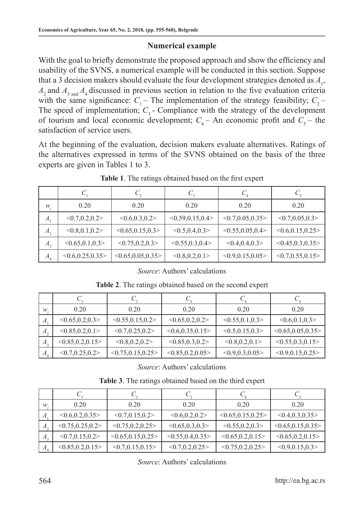## **Numerical example**

With the goal to briefly demonstrate the proposed approach and show the efficiency and usability of the SVNS, a numerical example will be conducted in this section. Suppose that a 3 decision makers should evaluate the four development strategies denoted as  $A_1$ ,  $A_2$  and  $A_3$ <sub>and</sub>  $A_4$  discussed in previous section in relation to the five evaluation criteria with the same significance:  $C_1$  – The implementation of the strategy feasibility;  $C_2$  – The speed of implementation;  $C_3$  - Compliance with the strategy of the development of tourism and local economic development;  $C_4$  – An economic profit and  $C_5$  – the satisfaction of service users.

At the beginning of the evaluation, decision makers evaluate alternatives. Ratings of the alternatives expressed in terms of the SVNS obtained on the basis of the three experts are given in Tables 1 to 3.

| $W_{1}$        | 0.20              | 0.20                | 0.20                | 0.20                | 0.20               |
|----------------|-------------------|---------------------|---------------------|---------------------|--------------------|
| $A_{1}$        | < 0.7, 0.2, 0.2 > | < 0.6, 0.3, 0.2 >   | < 0.59, 0.15, 0.4 > | < 0.7, 0.05, 0.35   | < 0.7, 0.05, 0.3 > |
| $A_{2}$        | < 0.8, 0.1, 0.2   | < 0.65, 0.15, 0.3 > | < 0.5, 0.4, 0.3 >   | < 0.55, 0.05, 0.4 > | < 0.6, 0.15, 0.25  |
| $A_{3}$        | < 0.65, 0.1, 0.3  | < 0.75, 0.2, 0.3 >  | < 0.55, 0.3, 0.4 >  | < 0.4, 0.4, 0.3     | < 0.45, 0.3, 0.35  |
| A <sub>4</sub> | < 0.6, 0.25, 0.35 | < 0.65, 0.05, 0.35  | < 0.8, 0.2, 0.1 >   | < 0.9, 0.15, 0.05   | < 0.7, 0.55, 0.15  |

**Table 1**. The ratings obtained based on the first expert

#### *Source*: Authors' calculations

| w                | 0.20               | 0.20                | 0.20               | 0.20               | 0.20               |
|------------------|--------------------|---------------------|--------------------|--------------------|--------------------|
| $\boldsymbol{A}$ | < 0.65, 0.2, 0.3 > | < 0.55, 0.15, 0.2 > | < 0.65, 0.2, 0.2 > | < 0.55, 0.1, 0.3 > | < 0.6, 0.1, 0.3    |
| $A_{2}$          | < 0.85, 0.2, 0.1 > | < 0.7, 0.25, 0.2    | < 0.6, 0.35, 0.15  | < 0.5, 0.15, 0.3 > | < 0.65, 0.05, 0.35 |
| $A_{3}$          | < 0.85, 0.2, 0.15  | < 0.8, 0.2, 0.2 >   | < 0.85, 0.3, 0.2   | < 0.8, 0.2, 0.1 >  | < 0.55, 0.3, 0.15  |
| $A_4$            | < 0.7, 0.25, 0.2   | < 0.75, 0.15, 0.25  | < 0.85, 0.2, 0.05  | < 0.9, 0.3, 0.05   | < 0.9, 0.15, 0.25  |

**Table 2**. The ratings obtained based on the second expert

*Source*: Authors' calculations

**Table 3**. The ratings obtained based on the third expert

| w       | 0.20              | 0.20               | 0.20               | 0.20               | 0.20               |
|---------|-------------------|--------------------|--------------------|--------------------|--------------------|
| $A$ .   | < 0.6, 0.2, 0.35  | < 0.7, 0.15, 0.2   | < 0.6, 0.2, 0.2 >  | < 0.65, 0.15, 0.25 | < 0.4, 0.3, 0.35   |
| $A_{2}$ | < 0.75, 0.25, 0.2 | < 0.75, 0.2, 0.25  | < 0.65, 0.3, 0.3 > | < 0.55, 0.2, 0.3 > | < 0.65, 0.15, 0.35 |
| $A_{3}$ | < 0.7, 0.15, 0.2  | < 0.65, 0.15, 0.25 | < 0.55, 0.4, 0.35  | < 0.65, 0.2, 0.15  | < 0.65, 0.2, 0.15  |
| $A_{4}$ | < 0.85, 0.2, 0.15 | < 0.7, 0.15, 0.15  | < 0.7, 0.2, 0.25   | < 0.75, 0.2, 0.25  | < 0.9, 0.15, 0.3 > |

*Source*: Authors' calculations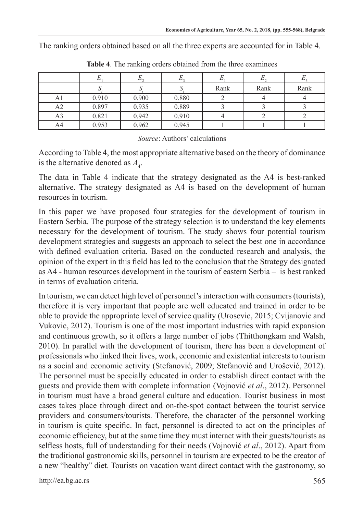The ranking orders obtained based on all the three experts are accounted for in Table 4.

|                |       | ມ     |       | Rank | Rank | Rank |
|----------------|-------|-------|-------|------|------|------|
| Αl             | 0.910 | 0.900 | 0.880 |      |      |      |
| A2             | 0.897 | 0.935 | 0.889 |      |      |      |
| A <sub>3</sub> | 0.821 | 0.942 | 0.910 |      |      |      |
| A4             | 0.953 | 0.962 | 0.945 |      |      |      |

**Table 4**. The ranking orders obtained from the three examinees

#### *Source*: Authors' calculations

According to Table 4, the most appropriate alternative based on the theory of dominance is the alternative denoted as  $A_4$ .

The data in Table 4 indicate that the strategy designated as the A4 is best-ranked alternative. The strategy designated as A4 is based on the development of human resources in tourism.

In this paper we have proposed four strategies for the development of tourism in Eastern Serbia. The purpose of the strategy selection is to understand the key elements necessary for the development of tourism. The study shows four potential tourism development strategies and suggests an approach to select the best one in accordance with defined evaluation criteria. Based on the conducted research and analysis, the opinion of the expert in this field has led to the conclusion that the Strategy designated as A4 - human resources development in the tourism of eastern Serbia – is best ranked in terms of evaluation criteria.

In tourism, we can detect high level of personnel's interaction with consumers (tourists), therefore it is very important that people are well educated and trained in order to be able to provide the appropriate level of service quality (Urosevic, 2015; Cvijanovic and Vukovic, 2012). Tourism is one of the most important industries with rapid expansion and continuous growth, so it offers a large number of jobs (Thitthongkam and Walsh, 2010). In parallel with the development of tourism, there has been a development of professionals who linked their lives, work, economic and existential interests to tourism as a social and economic activity (Stefanović, 2009; Stefanović and Urošević, 2012). The personnel must be specially educated in order to establish direct contact with the guests and provide them with complete information (Vojnović *et al*., 2012). Personnel in tourism must have a broad general culture and education. Tourist business in most cases takes place through direct and on-the-spot contact between the tourist service providers and consumers/tourists. Therefore, the character of the personnel working in tourism is quite specific. In fact, personnel is directed to act on the principles of economic efficiency, but at the same time they must interact with their guests/tourists as selfless hosts, full of understanding for their needs (Vojnović *et al*., 2012). Apart from the traditional gastronomic skills, personnel in tourism are expected to be the creator of a new "healthy" diet. Tourists on vacation want direct contact with the gastronomy, so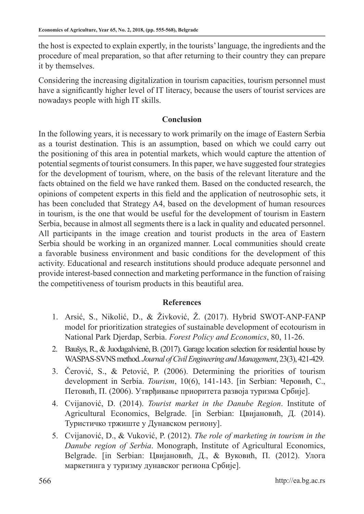the host is expected to explain expertly, in the tourists' language, the ingredients and the procedure of meal preparation, so that after returning to their country they can prepare it by themselves.

Considering the increasing digitalization in tourism capacities, tourism personnel must have a significantly higher level of IT literacy, because the users of tourist services are nowadays people with high IT skills.

## **Conclusion**

In the following years, it is necessary to work primarily on the image of Eastern Serbia as a tourist destination. This is an assumption, based on which we could carry out the positioning of this area in potential markets, which would capture the attention of potential segments of tourist consumers. In this paper, we have suggested four strategies for the development of tourism, where, on the basis of the relevant literature and the facts obtained on the field we have ranked them. Based on the conducted research, the opinions of competent experts in this field and the application of neutrosophic sets, it has been concluded that Strategy A4, based on the development of human resources in tourism, is the one that would be useful for the development of tourism in Eastern Serbia, because in almost all segments there is a lack in quality and educated personnel. All participants in the image creation and tourist products in the area of Eastern Serbia should be working in an organized manner. Local communities should create a favorable business environment and basic conditions for the development of this activity. Educational and research institutions should produce adequate personnel and provide interest-based connection and marketing performance in the function of raising the competitiveness of tourism products in this beautiful area.

## **References**

- 1. Arsić, S., Nikolić, D., & Živković, Ž. (2017). Hybrid SWOT-ANP-FANP model for prioritization strategies of sustainable development of ecotourism in National Park Djerdap, Serbia. *Forest Policy and Economics*, 80, 11-26.
- 2. Baušys, R., & Juodagalvienė, B. (2017). Garage location selection for residential house by WASPAS-SVNS method. *Journal of Civil Engineering and Management*, 23(3), 421-429.
- 3. Čerović, S., & Petović, P. (2006). Determining the priorities of tourism development in Serbia. *Tourism*, 10(6), 141-143. [in Serbian: Черовић, С., Петовић, П. (2006). Утврђивање приоритета развоја туризма Србије].
- 4. Cvijanović, D. (2014). *Tourist market in the Danube Region*. Institute of Agricultural Economics, Belgrade. [in Serbian: Цвијановић, Д. (2014). Туристичко тржиште у Дунавском региону].
- 5. Cvijanović, D., & Vuković, P. (2012). *The role of marketing in tourism in the Danube region of Serbia*. Monograph, Institute of Agricultural Economics, Belgrade. [in Serbian: Цвијановић, Д., & Вуковић, П. (2012). Улога маркетинга у туризму дунавског региона Србије].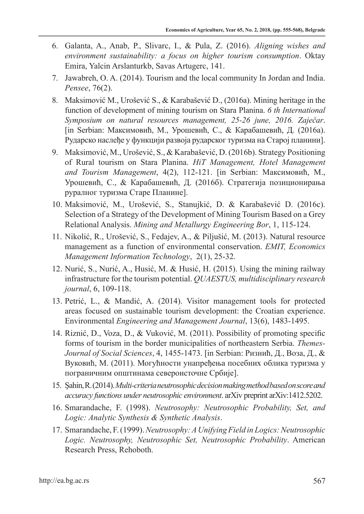- 6. Galanta, A., Anab, P., Slivarc, I., & Pula, Z. (2016). *Aligning wishes and environment sustainability: a focus on higher tourism consumption*. Oktay Emira, Yalcin Arslanturkb, Savas Artugerc, 141.
- 7. Jawabreh, O. A. (2014). Tourism and the local community In Jordan and India. *Pensee*, 76(2).
- 8. Maksimović M., Urošević S., & Karabašević D., (2016a). Mining heritage in the function of development of mining tourism on Stara Planina. *6 th International Symposium on natural resources management, 25-26 june, 2016. Zaječar*. [in Serbian: Максимовић, М., Урошевић, С., & Карабашевић, Д. (2016а). Рударско наслеђе у функцији развоја рударског туризма на Старој планини].
- 9. Maksimović, M., Urošević, S., & Karabašević, D. (2016b). Strategy Positioning of Rural tourism on Stara Planina. *HiT Management, Hotel Management and Tourism Management*, 4(2), 112-121. [in Serbian: Максимовић, М., Урошевић, С., & Карабашевић, Д. (2016б). Стратегија позиционирања руралног туризма Старе Планине].
- 10. Maksimović, M., Urošević, S., Stanujkić, D. & Karabašević D. (2016c). Selection of a Strategy of the Development of Mining Tourism Based on a Grey Relational Analysis. *Mining and Metallurgy Engineering Bor*, 1, 115-124.
- 11. Nikolić, R., Urošević, S., Fedajev, A., & Piljušić, M. (2013). Natural resource management as a function of environmental conservation. *EMIT, Economics Management Information Technology*, 2(1), 25-32.
- 12. Nurić, S., Nurić, A., Husić, M. & Husić, H. (2015). Using the mining railway infrastructure for the tourism potential. *QUAESTUS, multidisciplinary research journal*, 6, 109-118.
- 13. Petrić, L., & Mandić, A. (2014). Visitor management tools for protected areas focused on sustainable tourism development: the Croatian experience. Environmental *Engineering and Management Journal*, 13(6), 1483-1495.
- 14. Riznić, D., Voza, D., & Vuković, M. (2011). Possibility of promoting specific forms of tourism in the border municipalities of northeastern Serbia. *Themes-Journal of Social Sciences*, 4, 1455-1473. [in Serbian: Ризнић, Д., Воза, Д., & Вуковић, М. (2011). Могућности унапређења посебних облика туризма у пограничним општинама североисточне Србије].
- 15. Şahin, R. (2014). *Multi-criteria neutrosophic decision making method based on score and accuracy functions under neutrosophic environment*. arXiv preprint arXiv:1412.5202.
- 16. Smarandache, F. (1998). *Neutrosophy: Neutrosophic Probability, Set, and Logic: Analytic Synthesis & Synthetic Analysis*.
- 17. Smarandache, F. (1999). *Neutrosophy: A Unifying Field in Logics: Neutrosophic Logic. Neutrosophy, Neutrosophic Set, Neutrosophic Probability*. American Research Press, Rehoboth.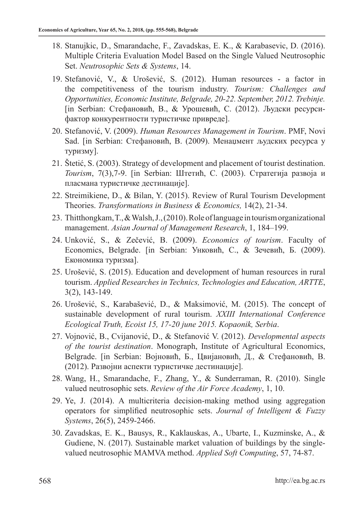- 18. Stanujkic, D., Smarandache, F., Zavadskas, E. K., & Karabasevic, D. (2016). Multiple Criteria Evaluation Model Based on the Single Valued Neutrosophic Set. *Neutrosophic Sets & Systems*, 14.
- 19. Stefanović, V., & Urošević, S. (2012). Human resources a factor in the competitiveness of the tourism industry. *Tourism: Challenges and Opportunities, Economic Institute, Belgrade, 20-22. Septembеr, 2012. Trebinje.*  [in Serbian: Стефановић, В., & Урошевић, С. (2012). Људски ресурсифактор конкурентности туристичке привреде].
- 20. Stefanović, V. (2009). *Human Resources Management in Tourism*. PMF, Novi Sad. [in Serbian: Стефановић, В. (2009). Менаџмент људских ресурса у туризму].
- 21. Štetić, S. (2003). Strategy of development and placement of tourist destination. *Tourism*, 7(3),7-9. [in Serbian: Штетић, С. (2003). Стратегија развоја и пласмана туристичке дестинације].
- 22. Streimikiene, D., & Bilan, Y. (2015). Review of Rural Tourism Development Theories. *Transformations in Business & Economics,* 14(2), 21-34.
- 23. Thitthongkam, T., & Walsh, J., (2010). Role of language in tourism organizational management. *Asian Journal of Management Research*, 1, 184–199.
- 24. Unković, S., & Zečević, B. (2009). *Economics of tourism*. Faculty of Economics, Belgrade. [in Serbian: Унковић, С., & Зечевић, Б. (2009). Економика туризма].
- 25. Urošević, S. (2015). Education and development of human resources in rural tourism. *Applied Researches in Technics, Technologies and Education, ARTTE*, 3(2), 143-149.
- 26. Urošević, S., Karabašević, D., & Maksimović, M. (2015). The concept of sustainable development of rural tourism. *XXIII International Conference Ecological Truth, Ecoist 15, 17-20 june 2015. Kopaonik, Serbia*.
- 27. Vojnović, B., Cvijanović, D., & Stefanović V. (2012). *Developmental aspects of the tourist destination*. Monograph, Institute of Agricultural Economics, Belgrade. [in Serbian: Војновић, Б., Цвијановић, Д., & Стефановић, В. (2012). Развојни аспекти туристичке дестинације].
- 28. Wang, H., Smarandache, F., Zhang, Y., & Sunderraman, R. (2010). Single valued neutrosophic sets. *Review of the Air Force Academy*, 1, 10.
- 29. Ye, J. (2014). A multicriteria decision-making method using aggregation operators for simplified neutrosophic sets. *Journal of Intelligent & Fuzzy Systems*, 26(5), 2459-2466.
- 30. Zavadskas, E. K., Bausys, R., Kaklauskas, A., Ubarte, I., Kuzminske, A., & Gudiene, N. (2017). Sustainable market valuation of buildings by the singlevalued neutrosophic MAMVA method. *Applied Soft Computing*, 57, 74-87.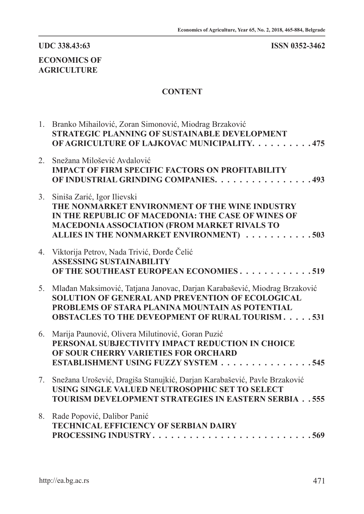# **UDC 338.43:63 ISSN 0352-3462**

# **ECONOMICS OF AGRICULTURE**

## **CONTENT**

|    | 1. Branko Mihailović, Zoran Simonović, Miodrag Brzaković<br><b>STRATEGIC PLANNING OF SUSTAINABLE DEVELOPMENT</b><br>OF AGRICULTURE OF LAJKOVAC MUNICIPALITY. 475                                                                            |
|----|---------------------------------------------------------------------------------------------------------------------------------------------------------------------------------------------------------------------------------------------|
| 2. | Snežana Milošević Avdalović<br><b>IMPACT OF FIRM SPECIFIC FACTORS ON PROFITABILITY</b><br>OF INDUSTRIAL GRINDING COMPANIES. 493                                                                                                             |
| 3. | Siniša Zarić, Igor Ilievski<br>THE NONMARKET ENVIRONMENT OF THE WINE INDUSTRY<br>IN THE REPUBLIC OF MACEDONIA: THE CASE OF WINES OF<br><b>MACEDONIA ASSOCIATION (FROM MARKET RIVALS TO</b><br>ALLIES IN THE NONMARKET ENVIRONMENT) 503      |
|    | 4. Viktorija Petrov, Nada Trivić, Đorđe Čelić<br><b>ASSESSING SUSTAINABILITY</b><br>OF THE SOUTHEAST EUROPEAN ECONOMIES519                                                                                                                  |
| 5. | Mlađan Maksimović, Tatjana Janovac, Darjan Karabašević, Miodrag Brzaković<br>SOLUTION OF GENERAL AND PREVENTION OF ECOLOGICAL<br>PROBLEMS OF STARA PLANINA MOUNTAIN AS POTENTIAL<br><b>OBSTACLES TO THE DEVEOPMENT OF RURAL TOURISM 531</b> |
| 6. | Marija Paunović, Olivera Milutinović, Goran Puzić<br>PERSONAL SUBJECTIVITY IMPACT REDUCTION IN CHOICE<br>OF SOUR CHERRY VARIETIES FOR ORCHARD<br>ESTABLISHMENT USING FUZZY SYSTEM 545                                                       |
| 7. | Snežana Urošević, Dragiša Stanujkić, Darjan Karabašević, Pavle Brzaković<br>USING SINGLE VALUED NEUTROSOPHIC SET TO SELECT<br><b>TOURISM DEVELOPMENT STRATEGIES IN EASTERN SERBIA555</b>                                                    |
| 8. | Rade Popović, Dalibor Panić<br><b>TECHNICAL EFFICIENCY OF SERBIAN DAIRY</b><br>PROCESSING INDUSTRY569                                                                                                                                       |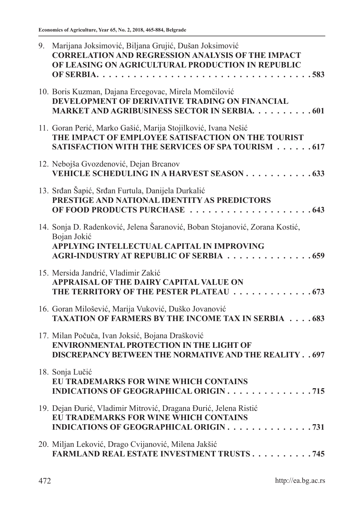| 9. | Marijana Joksimović, Biljana Grujić, Dušan Joksimović<br><b>CORRELATION AND REGRESSION ANALYSIS OF THE IMPACT</b><br>OF LEASING ON AGRICULTURAL PRODUCTION IN REPUBLIC              |
|----|-------------------------------------------------------------------------------------------------------------------------------------------------------------------------------------|
|    |                                                                                                                                                                                     |
|    | 10. Boris Kuzman, Dajana Ercegovac, Mirela Momčilović<br>DEVELOPMENT OF DERIVATIVE TRADING ON FINANCIAL<br>MARKET AND AGRIBUSINESS SECTOR IN SERBIA. 601                            |
|    | 11. Goran Perić, Marko Gašić, Marija Stojilković, Ivana Nešić<br>THE IMPACT OF EMPLOYEE SATISFACTION ON THE TOURIST<br><b>SATISFACTION WITH THE SERVICES OF SPA TOURISM 617</b>     |
|    | 12. Nebojša Gvozdenović, Dejan Brcanov<br>VEHICLE SCHEDULING IN A HARVEST SEASON 633                                                                                                |
|    | 13. Srđan Šapić, Srđan Furtula, Danijela Durkalić<br>PRESTIGE AND NATIONAL IDENTITY AS PREDICTORS<br>OF FOOD PRODUCTS PURCHASE 643                                                  |
|    | 14. Sonja D. Radenković, Jelena Šaranović, Boban Stojanović, Zorana Kostić,<br>Bojan Jokić<br>APPLYING INTELLECTUAL CAPITAL IN IMPROVING<br>AGRI-INDUSTRY AT REPUBLIC OF SERBIA 659 |
|    | 15. Mersida Jandrić, Vladimir Zakić<br>APPRAISAL OF THE DAIRY CAPITAL VALUE ON<br>THE TERRITORY OF THE PESTER PLATEAU 673                                                           |
|    | 16. Goran Milošević, Marija Vuković, Duško Jovanović<br><b>TAXATION OF FARMERS BY THE INCOME TAX IN SERBIA 683</b>                                                                  |
|    | 17. Milan Počuča, Ivan Joksić, Bojana Drašković<br><b>ENVIRONMENTAL PROTECTION IN THE LIGHT OF</b><br><b>DISCREPANCY BETWEEN THE NORMATIVE AND THE REALITY 697</b>                  |
|    | 18. Sonja Lučić<br><b>EU TRADEMARKS FOR WINE WHICH CONTAINS</b><br>INDICATIONS OF GEOGRAPHICAL ORIGIN 715                                                                           |
|    | 19. Dejan Đurić, Vladimir Mitrović, Dragana Đurić, Jelena Ristić<br>EU TRADEMARKS FOR WINE WHICH CONTAINS<br>INDICATIONS OF GEOGRAPHICAL ORIGIN 731                                 |
|    | 20. Miljan Leković, Drago Cvijanović, Milena Jakšić<br><b>FARMLAND REAL ESTATE INVESTMENT TRUSTS745</b>                                                                             |